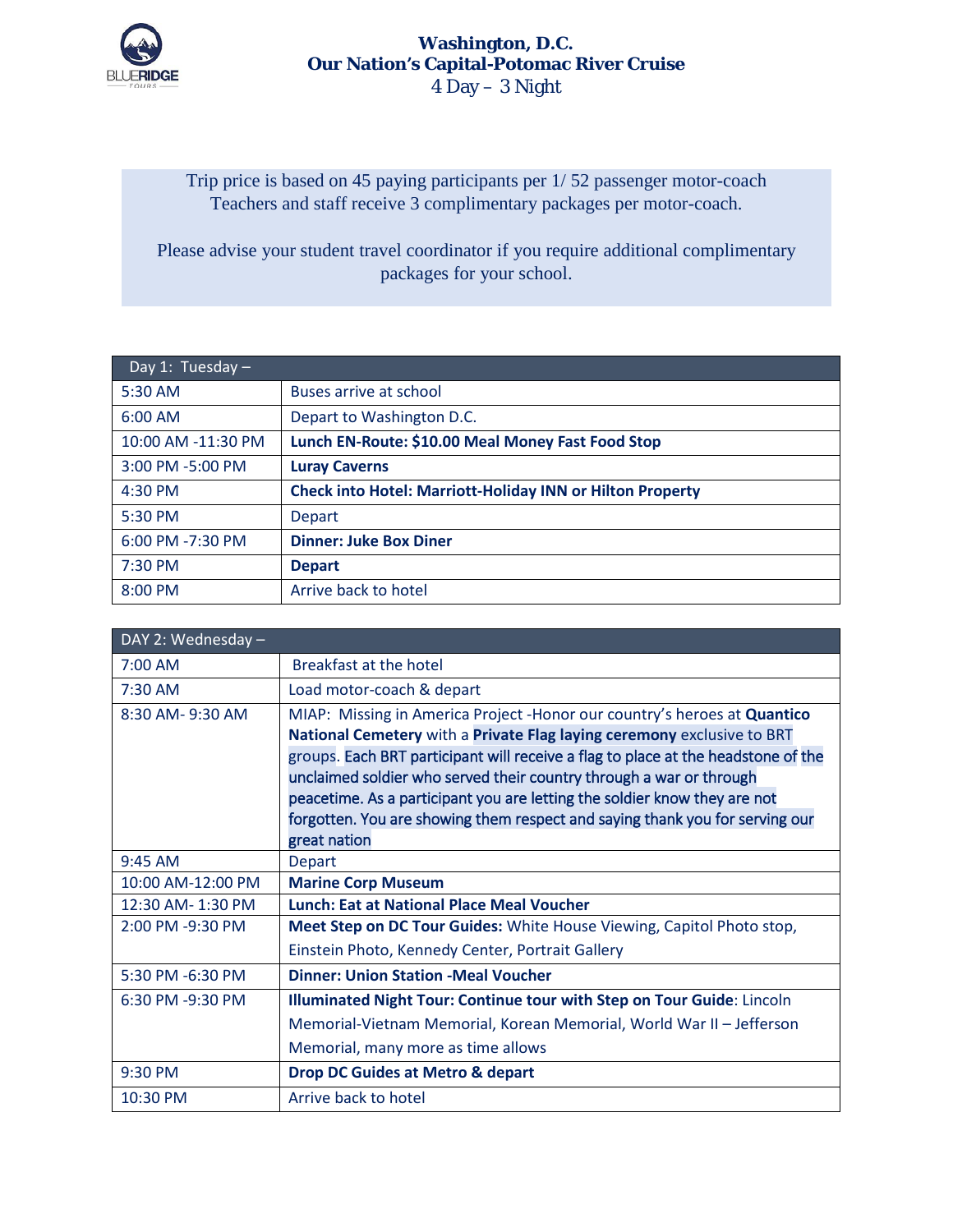

## **Washington, D.C. Our Nation's Capital-Potomac River Cruise**  4 Day – 3 Night

Trip price is based on 45 paying participants per 1/ 52 passenger motor-coach Teachers and staff receive 3 complimentary packages per motor-coach.

Please advise your student travel coordinator if you require additional complimentary packages for your school.

| Day 1: Tuesday $-$ |                                                                  |  |  |
|--------------------|------------------------------------------------------------------|--|--|
| 5:30 AM            | Buses arrive at school                                           |  |  |
| 6:00 AM            | Depart to Washington D.C.                                        |  |  |
| 10:00 AM -11:30 PM | Lunch EN-Route: \$10.00 Meal Money Fast Food Stop                |  |  |
| 3:00 PM -5:00 PM   | <b>Luray Caverns</b>                                             |  |  |
| $4:30$ PM          | <b>Check into Hotel: Marriott-Holiday INN or Hilton Property</b> |  |  |
| 5:30 PM            | <b>Depart</b>                                                    |  |  |
| 6:00 PM -7:30 PM   | <b>Dinner: Juke Box Diner</b>                                    |  |  |
| $7:30$ PM          | <b>Depart</b>                                                    |  |  |
| 8:00 PM            | Arrive back to hotel                                             |  |  |

| DAY 2: Wednesday - |                                                                                   |  |  |  |
|--------------------|-----------------------------------------------------------------------------------|--|--|--|
| 7:00 AM            | Breakfast at the hotel                                                            |  |  |  |
| 7:30 AM            | Load motor-coach & depart                                                         |  |  |  |
| 8:30 AM-9:30 AM    | MIAP: Missing in America Project - Honor our country's heroes at Quantico         |  |  |  |
|                    | National Cemetery with a Private Flag laying ceremony exclusive to BRT            |  |  |  |
|                    | groups. Each BRT participant will receive a flag to place at the headstone of the |  |  |  |
|                    | unclaimed soldier who served their country through a war or through               |  |  |  |
|                    | peacetime. As a participant you are letting the soldier know they are not         |  |  |  |
|                    | forgotten. You are showing them respect and saying thank you for serving our      |  |  |  |
|                    | great nation                                                                      |  |  |  |
| $9:45$ AM          | <b>Depart</b>                                                                     |  |  |  |
| 10:00 AM-12:00 PM  | <b>Marine Corp Museum</b>                                                         |  |  |  |
| 12:30 AM-1:30 PM   | <b>Lunch: Eat at National Place Meal Voucher</b>                                  |  |  |  |
| 2:00 PM -9:30 PM   | Meet Step on DC Tour Guides: White House Viewing, Capitol Photo stop,             |  |  |  |
|                    | Einstein Photo, Kennedy Center, Portrait Gallery                                  |  |  |  |
| 5:30 PM -6:30 PM   | <b>Dinner: Union Station -Meal Voucher</b>                                        |  |  |  |
| 6:30 PM -9:30 PM   | Illuminated Night Tour: Continue tour with Step on Tour Guide: Lincoln            |  |  |  |
|                    | Memorial-Vietnam Memorial, Korean Memorial, World War II - Jefferson              |  |  |  |
|                    | Memorial, many more as time allows                                                |  |  |  |
| 9:30 PM            | <b>Drop DC Guides at Metro &amp; depart</b>                                       |  |  |  |
| 10:30 PM           | Arrive back to hotel                                                              |  |  |  |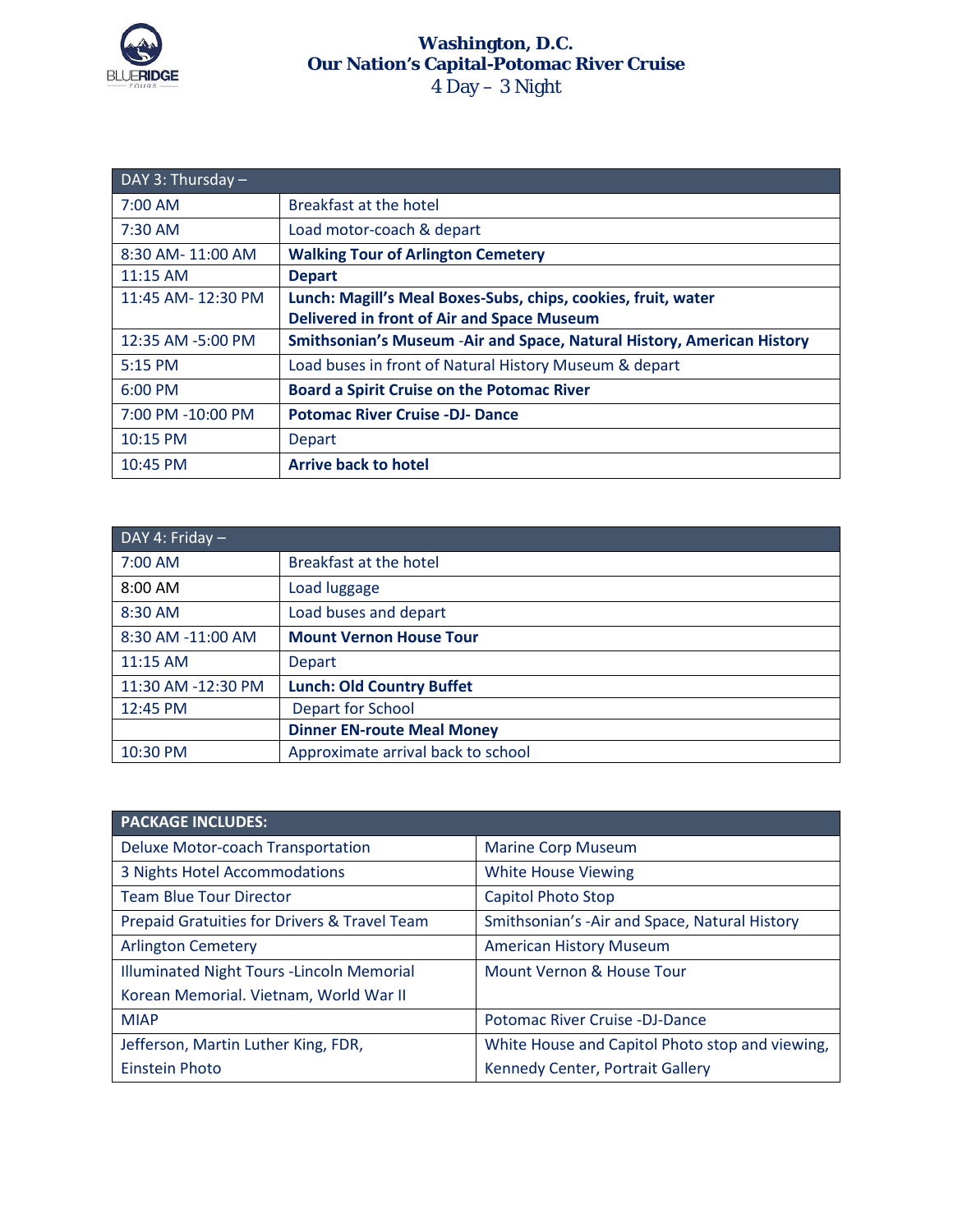

## **Washington, D.C. Our Nation's Capital-Potomac River Cruise**  4 Day – 3 Night

| DAY 3: Thursday $-$ |                                                                         |  |  |  |
|---------------------|-------------------------------------------------------------------------|--|--|--|
| $7:00$ AM           | Breakfast at the hotel                                                  |  |  |  |
| 7:30 AM             | Load motor-coach & depart                                               |  |  |  |
| 8:30 AM-11:00 AM    | <b>Walking Tour of Arlington Cemetery</b>                               |  |  |  |
| 11:15 AM            | <b>Depart</b>                                                           |  |  |  |
| 11:45 AM-12:30 PM   | Lunch: Magill's Meal Boxes-Subs, chips, cookies, fruit, water           |  |  |  |
|                     | <b>Delivered in front of Air and Space Museum</b>                       |  |  |  |
| 12:35 AM -5:00 PM   | Smithsonian's Museum - Air and Space, Natural History, American History |  |  |  |
| 5:15 PM             | Load buses in front of Natural History Museum & depart                  |  |  |  |
| 6:00 PM             | <b>Board a Spirit Cruise on the Potomac River</b>                       |  |  |  |
| 7:00 PM -10:00 PM   | <b>Potomac River Cruise -DJ- Dance</b>                                  |  |  |  |
| 10:15 PM            | Depart                                                                  |  |  |  |
| 10:45 PM            | <b>Arrive back to hotel</b>                                             |  |  |  |

| DAY 4: Friday -    |                                    |  |  |  |
|--------------------|------------------------------------|--|--|--|
| 7:00 AM            | Breakfast at the hotel             |  |  |  |
| $8:00$ AM          | Load luggage                       |  |  |  |
| 8:30 AM            | Load buses and depart              |  |  |  |
| 8:30 AM -11:00 AM  | <b>Mount Vernon House Tour</b>     |  |  |  |
| 11:15 AM           | Depart                             |  |  |  |
| 11:30 AM -12:30 PM | <b>Lunch: Old Country Buffet</b>   |  |  |  |
| 12:45 PM           | <b>Depart for School</b>           |  |  |  |
|                    | <b>Dinner EN-route Meal Money</b>  |  |  |  |
| 10:30 PM           | Approximate arrival back to school |  |  |  |

| <b>PACKAGE INCLUDES:</b>                     |                                                 |  |
|----------------------------------------------|-------------------------------------------------|--|
| <b>Deluxe Motor-coach Transportation</b>     | <b>Marine Corp Museum</b>                       |  |
| 3 Nights Hotel Accommodations                | <b>White House Viewing</b>                      |  |
| <b>Team Blue Tour Director</b>               | Capitol Photo Stop                              |  |
| Prepaid Gratuities for Drivers & Travel Team | Smithsonian's -Air and Space, Natural History   |  |
| <b>Arlington Cemetery</b>                    | <b>American History Museum</b>                  |  |
| Illuminated Night Tours - Lincoln Memorial   | Mount Vernon & House Tour                       |  |
| Korean Memorial. Vietnam, World War II       |                                                 |  |
| <b>MIAP</b>                                  | Potomac River Cruise -DJ-Dance                  |  |
| Jefferson, Martin Luther King, FDR,          | White House and Capitol Photo stop and viewing, |  |
| <b>Einstein Photo</b>                        | Kennedy Center, Portrait Gallery                |  |